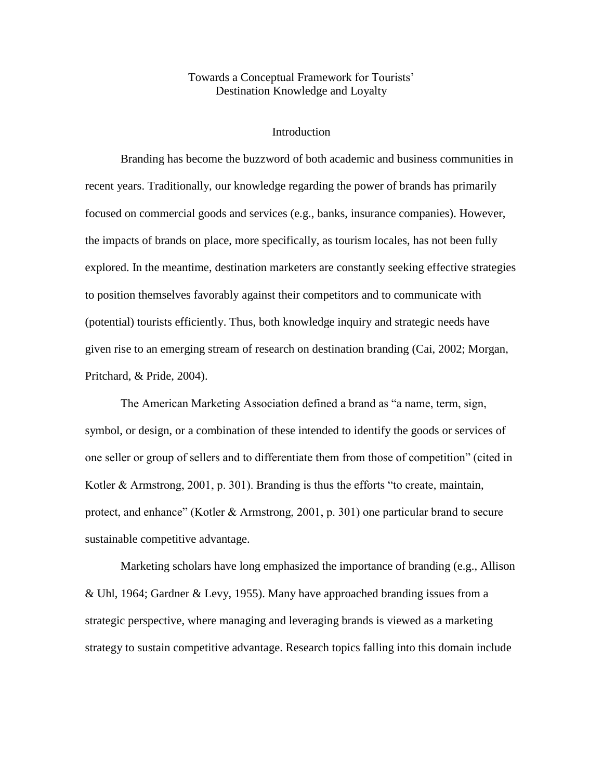# Towards a Conceptual Framework for Tourists" Destination Knowledge and Loyalty

### **Introduction**

Branding has become the buzzword of both academic and business communities in recent years. Traditionally, our knowledge regarding the power of brands has primarily focused on commercial goods and services (e.g., banks, insurance companies). However, the impacts of brands on place, more specifically, as tourism locales, has not been fully explored. In the meantime, destination marketers are constantly seeking effective strategies to position themselves favorably against their competitors and to communicate with (potential) tourists efficiently. Thus, both knowledge inquiry and strategic needs have given rise to an emerging stream of research on destination branding (Cai, 2002; Morgan, Pritchard, & Pride, 2004).

The American Marketing Association defined a brand as "a name, term, sign, symbol, or design, or a combination of these intended to identify the goods or services of one seller or group of sellers and to differentiate them from those of competition" (cited in Kotler & Armstrong, 2001, p. 301). Branding is thus the efforts "to create, maintain, protect, and enhance" (Kotler & Armstrong, 2001, p. 301) one particular brand to secure sustainable competitive advantage.

Marketing scholars have long emphasized the importance of branding (e.g., Allison & Uhl, 1964; Gardner & Levy, 1955). Many have approached branding issues from a strategic perspective, where managing and leveraging brands is viewed as a marketing strategy to sustain competitive advantage. Research topics falling into this domain include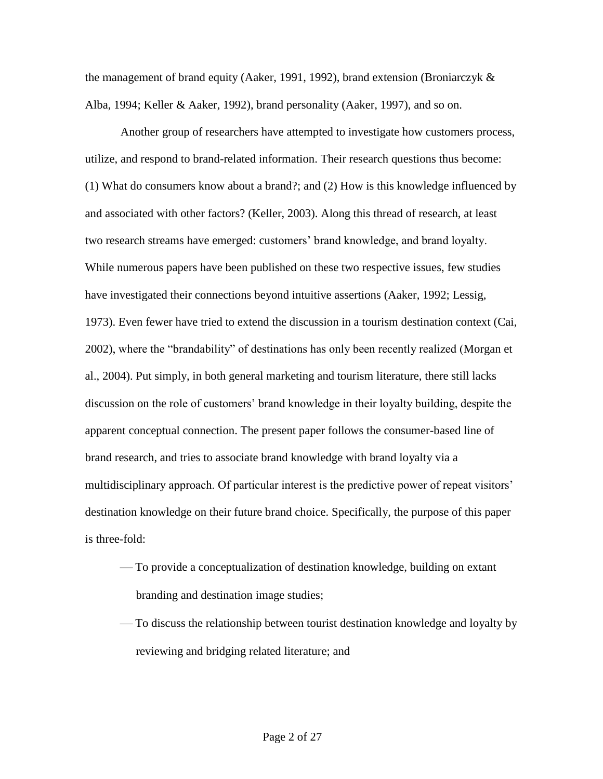the management of brand equity (Aaker, 1991, 1992), brand extension (Broniarczyk & Alba, 1994; Keller & Aaker, 1992), brand personality (Aaker, 1997), and so on.

Another group of researchers have attempted to investigate how customers process, utilize, and respond to brand-related information. Their research questions thus become: (1) What do consumers know about a brand?; and (2) How is this knowledge influenced by and associated with other factors? (Keller, 2003). Along this thread of research, at least two research streams have emerged: customers' brand knowledge, and brand loyalty. While numerous papers have been published on these two respective issues, few studies have investigated their connections beyond intuitive assertions (Aaker, 1992; Lessig, 1973). Even fewer have tried to extend the discussion in a tourism destination context (Cai, 2002), where the "brandability" of destinations has only been recently realized (Morgan et al., 2004). Put simply, in both general marketing and tourism literature, there still lacks discussion on the role of customers" brand knowledge in their loyalty building, despite the apparent conceptual connection. The present paper follows the consumer-based line of brand research, and tries to associate brand knowledge with brand loyalty via a multidisciplinary approach. Of particular interest is the predictive power of repeat visitors' destination knowledge on their future brand choice. Specifically, the purpose of this paper is three-fold:

- To provide a conceptualization of destination knowledge, building on extant branding and destination image studies;
- To discuss the relationship between tourist destination knowledge and loyalty by reviewing and bridging related literature; and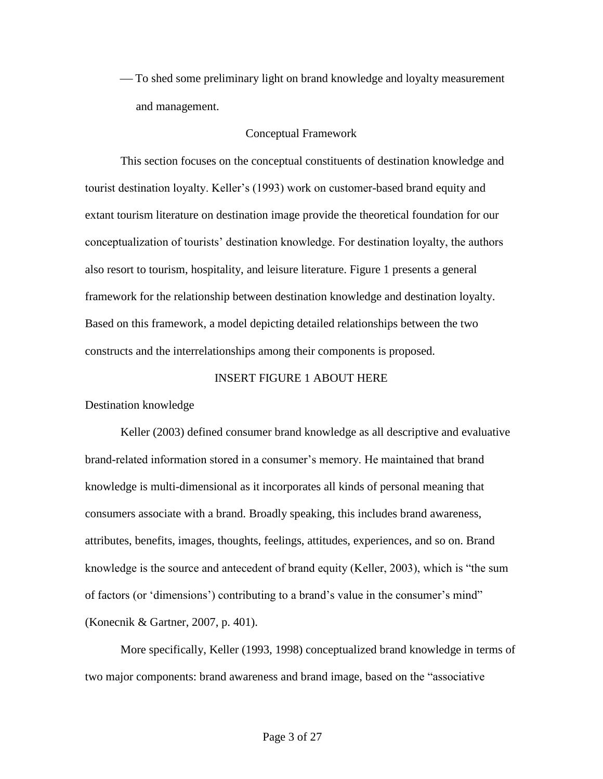To shed some preliminary light on brand knowledge and loyalty measurement and management.

## Conceptual Framework

This section focuses on the conceptual constituents of destination knowledge and tourist destination loyalty. Keller"s (1993) work on customer-based brand equity and extant tourism literature on destination image provide the theoretical foundation for our conceptualization of tourists" destination knowledge. For destination loyalty, the authors also resort to tourism, hospitality, and leisure literature. Figure 1 presents a general framework for the relationship between destination knowledge and destination loyalty. Based on this framework, a model depicting detailed relationships between the two constructs and the interrelationships among their components is proposed.

# INSERT FIGURE 1 ABOUT HERE

Destination knowledge

Keller (2003) defined consumer brand knowledge as all descriptive and evaluative brand-related information stored in a consumer"s memory. He maintained that brand knowledge is multi-dimensional as it incorporates all kinds of personal meaning that consumers associate with a brand. Broadly speaking, this includes brand awareness, attributes, benefits, images, thoughts, feelings, attitudes, experiences, and so on. Brand knowledge is the source and antecedent of brand equity (Keller, 2003), which is "the sum of factors (or 'dimensions') contributing to a brand's value in the consumer's mind" (Konecnik & Gartner, 2007, p. 401).

More specifically, Keller (1993, 1998) conceptualized brand knowledge in terms of two major components: brand awareness and brand image, based on the "associative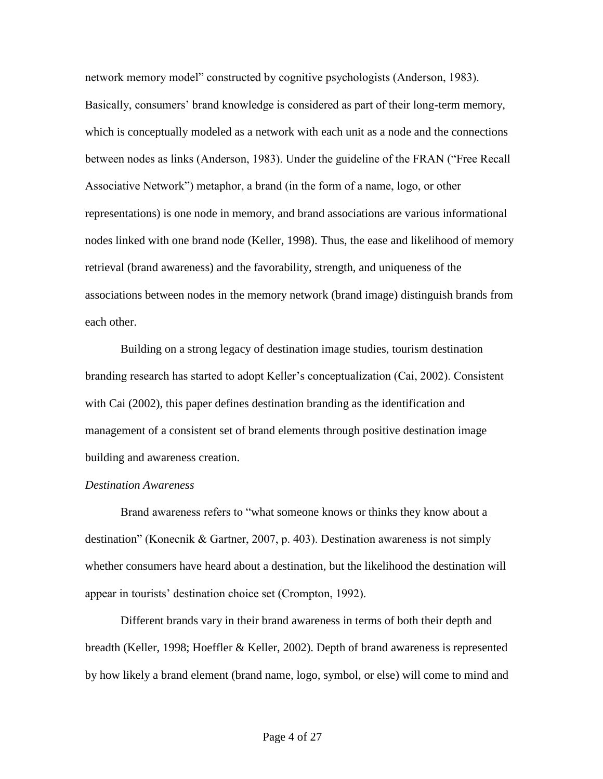network memory model" constructed by cognitive psychologists (Anderson, 1983). Basically, consumers' brand knowledge is considered as part of their long-term memory, which is conceptually modeled as a network with each unit as a node and the connections between nodes as links (Anderson, 1983). Under the guideline of the FRAN ("Free Recall Associative Network") metaphor, a brand (in the form of a name, logo, or other representations) is one node in memory, and brand associations are various informational nodes linked with one brand node (Keller, 1998). Thus, the ease and likelihood of memory retrieval (brand awareness) and the favorability, strength, and uniqueness of the associations between nodes in the memory network (brand image) distinguish brands from each other.

Building on a strong legacy of destination image studies, tourism destination branding research has started to adopt Keller"s conceptualization (Cai, 2002). Consistent with Cai (2002), this paper defines destination branding as the identification and management of a consistent set of brand elements through positive destination image building and awareness creation.

# *Destination Awareness*

Brand awareness refers to "what someone knows or thinks they know about a destination" (Konecnik & Gartner, 2007, p. 403). Destination awareness is not simply whether consumers have heard about a destination, but the likelihood the destination will appear in tourists" destination choice set (Crompton, 1992).

Different brands vary in their brand awareness in terms of both their depth and breadth (Keller, 1998; Hoeffler & Keller, 2002). Depth of brand awareness is represented by how likely a brand element (brand name, logo, symbol, or else) will come to mind and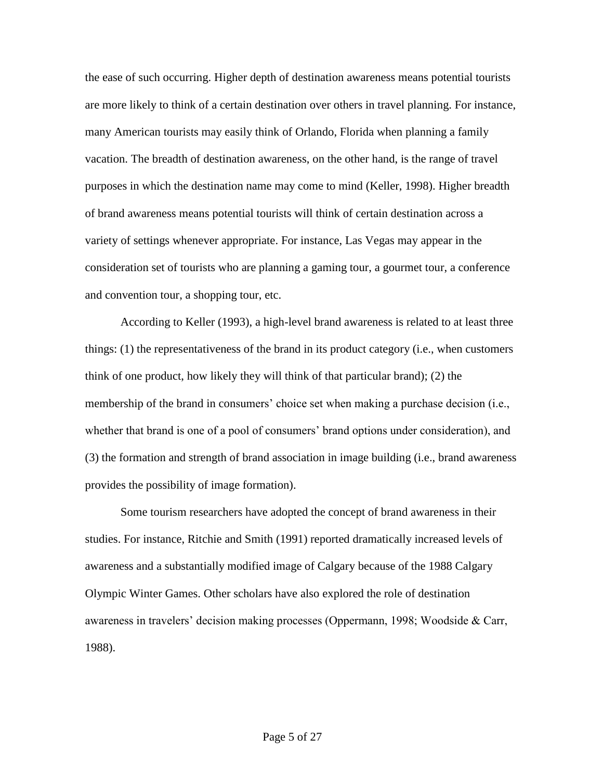the ease of such occurring. Higher depth of destination awareness means potential tourists are more likely to think of a certain destination over others in travel planning. For instance, many American tourists may easily think of Orlando, Florida when planning a family vacation. The breadth of destination awareness, on the other hand, is the range of travel purposes in which the destination name may come to mind (Keller, 1998). Higher breadth of brand awareness means potential tourists will think of certain destination across a variety of settings whenever appropriate. For instance, Las Vegas may appear in the consideration set of tourists who are planning a gaming tour, a gourmet tour, a conference and convention tour, a shopping tour, etc.

According to Keller (1993), a high-level brand awareness is related to at least three things: (1) the representativeness of the brand in its product category (i.e., when customers think of one product, how likely they will think of that particular brand); (2) the membership of the brand in consumers' choice set when making a purchase decision (i.e., whether that brand is one of a pool of consumers' brand options under consideration), and (3) the formation and strength of brand association in image building (i.e., brand awareness provides the possibility of image formation).

Some tourism researchers have adopted the concept of brand awareness in their studies. For instance, Ritchie and Smith (1991) reported dramatically increased levels of awareness and a substantially modified image of Calgary because of the 1988 Calgary Olympic Winter Games. Other scholars have also explored the role of destination awareness in travelers" decision making processes (Oppermann, 1998; Woodside & Carr, 1988).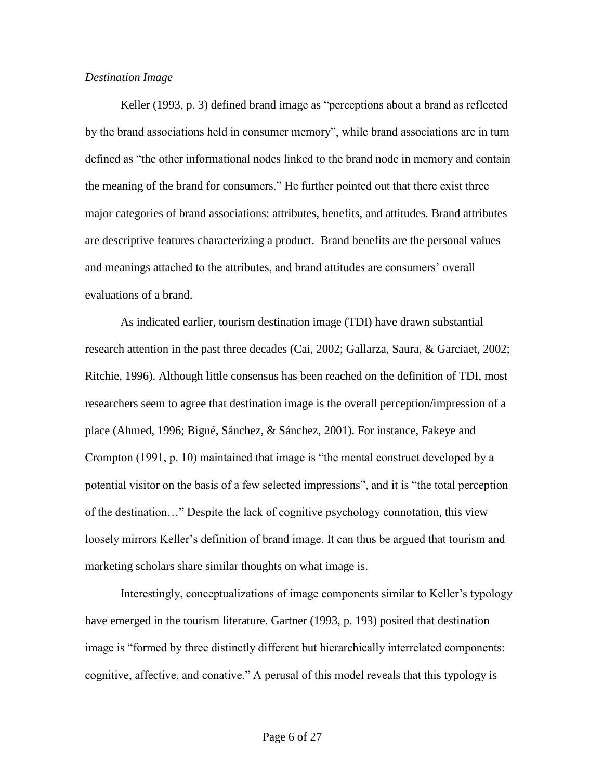### *Destination Image*

Keller (1993, p. 3) defined brand image as "perceptions about a brand as reflected by the brand associations held in consumer memory", while brand associations are in turn defined as "the other informational nodes linked to the brand node in memory and contain the meaning of the brand for consumers." He further pointed out that there exist three major categories of brand associations: attributes, benefits, and attitudes. Brand attributes are descriptive features characterizing a product. Brand benefits are the personal values and meanings attached to the attributes, and brand attitudes are consumers" overall evaluations of a brand.

As indicated earlier, tourism destination image (TDI) have drawn substantial research attention in the past three decades (Cai, 2002; Gallarza, Saura, & Garciaet, 2002; Ritchie, 1996). Although little consensus has been reached on the definition of TDI, most researchers seem to agree that destination image is the overall perception/impression of a place (Ahmed, 1996; Bigné, Sánchez, & Sánchez, 2001). For instance, Fakeye and Crompton (1991, p. 10) maintained that image is "the mental construct developed by a potential visitor on the basis of a few selected impressions", and it is "the total perception of the destination…" Despite the lack of cognitive psychology connotation, this view loosely mirrors Keller's definition of brand image. It can thus be argued that tourism and marketing scholars share similar thoughts on what image is.

Interestingly, conceptualizations of image components similar to Keller"s typology have emerged in the tourism literature. Gartner (1993, p. 193) posited that destination image is "formed by three distinctly different but hierarchically interrelated components: cognitive, affective, and conative." A perusal of this model reveals that this typology is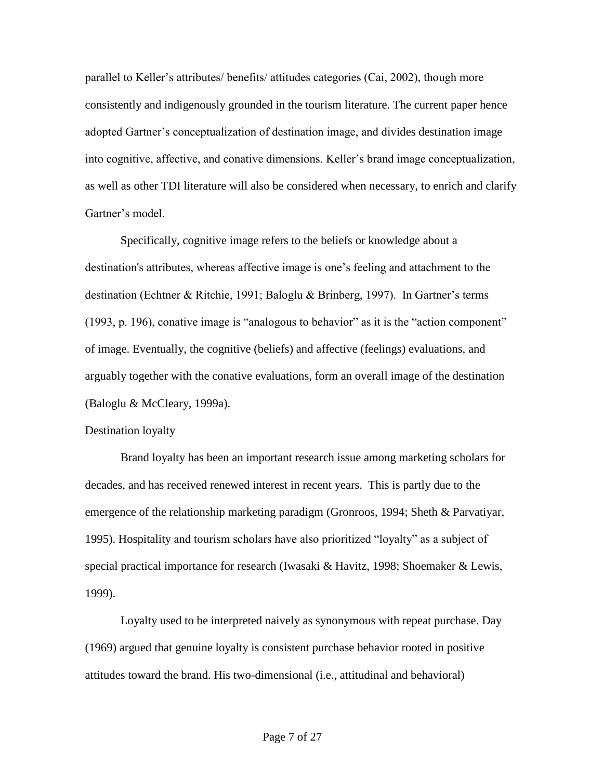parallel to Keller"s attributes/ benefits/ attitudes categories (Cai, 2002), though more consistently and indigenously grounded in the tourism literature. The current paper hence adopted Gartner"s conceptualization of destination image, and divides destination image into cognitive, affective, and conative dimensions. Keller"s brand image conceptualization, as well as other TDI literature will also be considered when necessary, to enrich and clarify Gartner's model

Specifically, cognitive image refers to the beliefs or knowledge about a destination's attributes, whereas affective image is one's feeling and attachment to the destination (Echtner & Ritchie, 1991; Baloglu & Brinberg, 1997). In Gartner"s terms (1993, p. 196), conative image is "analogous to behavior" as it is the "action component" of image. Eventually, the cognitive (beliefs) and affective (feelings) evaluations, and arguably together with the conative evaluations, form an overall image of the destination (Baloglu & McCleary, 1999a).

#### Destination loyalty

Brand loyalty has been an important research issue among marketing scholars for decades, and has received renewed interest in recent years. This is partly due to the emergence of the relationship marketing paradigm (Gronroos, 1994; Sheth & Parvatiyar, 1995). Hospitality and tourism scholars have also prioritized "loyalty" as a subject of special practical importance for research (Iwasaki & Havitz, 1998; Shoemaker & Lewis, 1999).

Loyalty used to be interpreted naively as synonymous with repeat purchase. Day (1969) argued that genuine loyalty is consistent purchase behavior rooted in positive attitudes toward the brand. His two-dimensional (i.e., attitudinal and behavioral)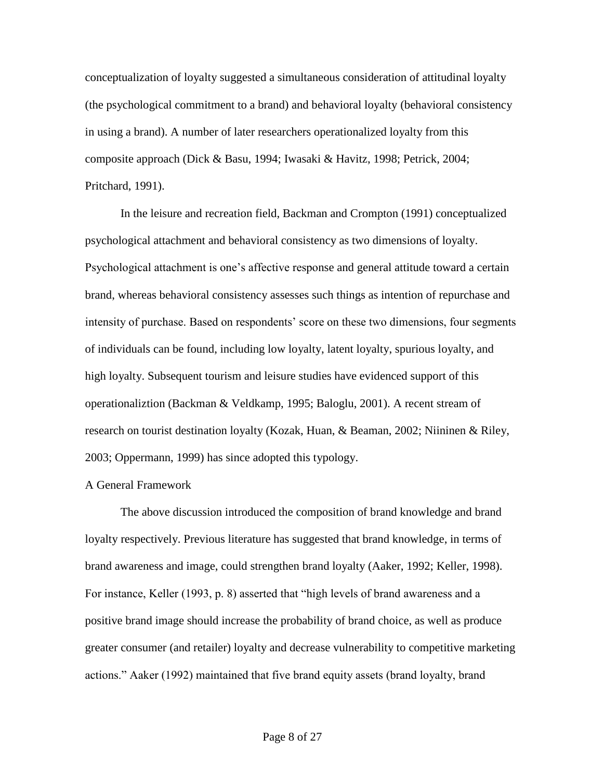conceptualization of loyalty suggested a simultaneous consideration of attitudinal loyalty (the psychological commitment to a brand) and behavioral loyalty (behavioral consistency in using a brand). A number of later researchers operationalized loyalty from this composite approach (Dick & Basu, 1994; Iwasaki & Havitz, 1998; Petrick, 2004; Pritchard, 1991).

In the leisure and recreation field, Backman and Crompton (1991) conceptualized psychological attachment and behavioral consistency as two dimensions of loyalty. Psychological attachment is one"s affective response and general attitude toward a certain brand, whereas behavioral consistency assesses such things as intention of repurchase and intensity of purchase. Based on respondents' score on these two dimensions, four segments of individuals can be found, including low loyalty, latent loyalty, spurious loyalty, and high loyalty. Subsequent tourism and leisure studies have evidenced support of this operationaliztion (Backman & Veldkamp, 1995; Baloglu, 2001). A recent stream of research on tourist destination loyalty (Kozak, Huan, & Beaman, 2002; Niininen & Riley, 2003; Oppermann, 1999) has since adopted this typology.

## A General Framework

The above discussion introduced the composition of brand knowledge and brand loyalty respectively. Previous literature has suggested that brand knowledge, in terms of brand awareness and image, could strengthen brand loyalty (Aaker, 1992; Keller, 1998). For instance, Keller (1993, p. 8) asserted that "high levels of brand awareness and a positive brand image should increase the probability of brand choice, as well as produce greater consumer (and retailer) loyalty and decrease vulnerability to competitive marketing actions." Aaker (1992) maintained that five brand equity assets (brand loyalty, brand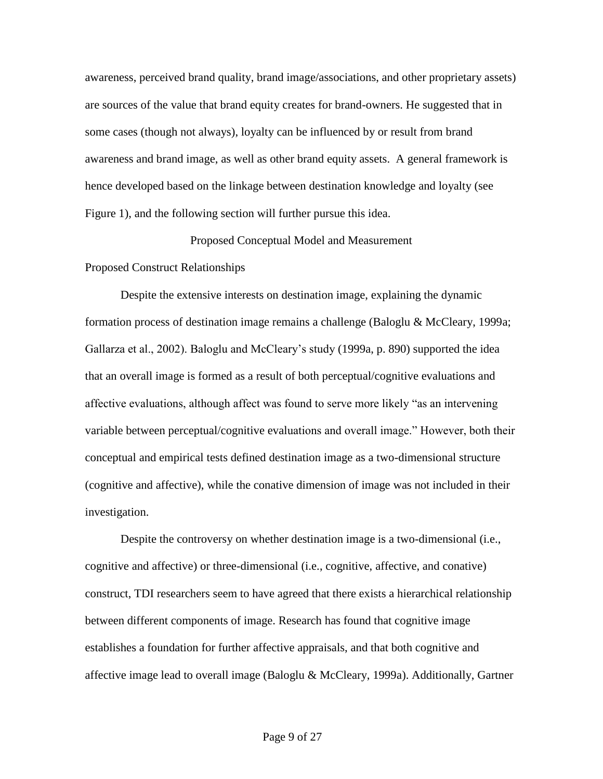awareness, perceived brand quality, brand image/associations, and other proprietary assets) are sources of the value that brand equity creates for brand-owners. He suggested that in some cases (though not always), loyalty can be influenced by or result from brand awareness and brand image, as well as other brand equity assets. A general framework is hence developed based on the linkage between destination knowledge and loyalty (see Figure 1), and the following section will further pursue this idea.

### Proposed Conceptual Model and Measurement

#### Proposed Construct Relationships

Despite the extensive interests on destination image, explaining the dynamic formation process of destination image remains a challenge (Baloglu & McCleary, 1999a; Gallarza et al., 2002). Baloglu and McCleary"s study (1999a, p. 890) supported the idea that an overall image is formed as a result of both perceptual/cognitive evaluations and affective evaluations, although affect was found to serve more likely "as an intervening variable between perceptual/cognitive evaluations and overall image." However, both their conceptual and empirical tests defined destination image as a two-dimensional structure (cognitive and affective), while the conative dimension of image was not included in their investigation.

Despite the controversy on whether destination image is a two-dimensional (i.e., cognitive and affective) or three-dimensional (i.e., cognitive, affective, and conative) construct, TDI researchers seem to have agreed that there exists a hierarchical relationship between different components of image. Research has found that cognitive image establishes a foundation for further affective appraisals, and that both cognitive and affective image lead to overall image (Baloglu & McCleary, 1999a). Additionally, Gartner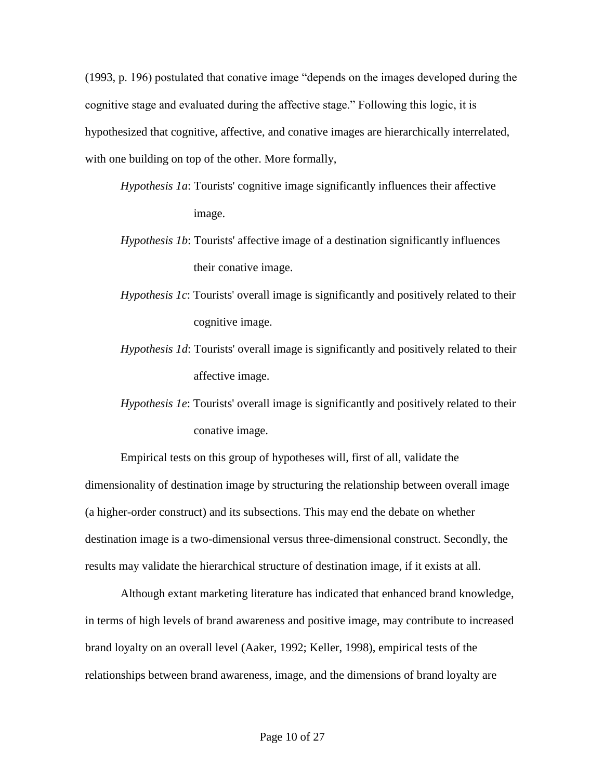(1993, p. 196) postulated that conative image "depends on the images developed during the cognitive stage and evaluated during the affective stage." Following this logic, it is hypothesized that cognitive, affective, and conative images are hierarchically interrelated, with one building on top of the other. More formally,

- *Hypothesis 1a*: Tourists' cognitive image significantly influences their affective image.
- *Hypothesis 1b*: Tourists' affective image of a destination significantly influences their conative image.
- *Hypothesis 1c*: Tourists' overall image is significantly and positively related to their cognitive image.
- *Hypothesis 1d*: Tourists' overall image is significantly and positively related to their affective image.
- *Hypothesis 1e*: Tourists' overall image is significantly and positively related to their conative image.

Empirical tests on this group of hypotheses will, first of all, validate the dimensionality of destination image by structuring the relationship between overall image (a higher-order construct) and its subsections. This may end the debate on whether destination image is a two-dimensional versus three-dimensional construct. Secondly, the results may validate the hierarchical structure of destination image, if it exists at all.

Although extant marketing literature has indicated that enhanced brand knowledge, in terms of high levels of brand awareness and positive image, may contribute to increased brand loyalty on an overall level (Aaker, 1992; Keller, 1998), empirical tests of the relationships between brand awareness, image, and the dimensions of brand loyalty are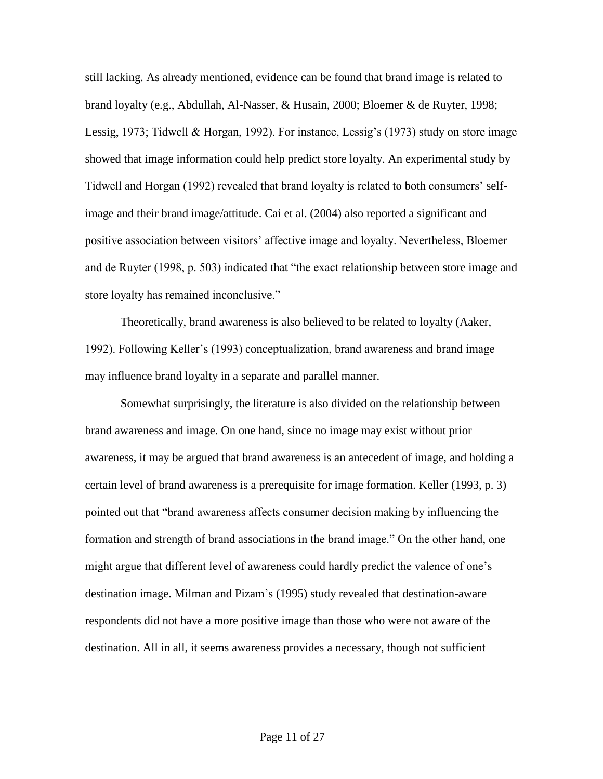still lacking. As already mentioned, evidence can be found that brand image is related to brand loyalty (e.g., Abdullah, Al-Nasser, & Husain, 2000; Bloemer & de Ruyter, 1998; Lessig, 1973; Tidwell & Horgan, 1992). For instance, Lessig's (1973) study on store image showed that image information could help predict store loyalty. An experimental study by Tidwell and Horgan (1992) revealed that brand loyalty is related to both consumers" selfimage and their brand image/attitude. Cai et al. (2004) also reported a significant and positive association between visitors" affective image and loyalty. Nevertheless, Bloemer and de Ruyter (1998, p. 503) indicated that "the exact relationship between store image and store loyalty has remained inconclusive."

Theoretically, brand awareness is also believed to be related to loyalty (Aaker, 1992). Following Keller"s (1993) conceptualization, brand awareness and brand image may influence brand loyalty in a separate and parallel manner.

Somewhat surprisingly, the literature is also divided on the relationship between brand awareness and image. On one hand, since no image may exist without prior awareness, it may be argued that brand awareness is an antecedent of image, and holding a certain level of brand awareness is a prerequisite for image formation. Keller (1993, p. 3) pointed out that "brand awareness affects consumer decision making by influencing the formation and strength of brand associations in the brand image." On the other hand, one might argue that different level of awareness could hardly predict the valence of one"s destination image. Milman and Pizam"s (1995) study revealed that destination-aware respondents did not have a more positive image than those who were not aware of the destination. All in all, it seems awareness provides a necessary, though not sufficient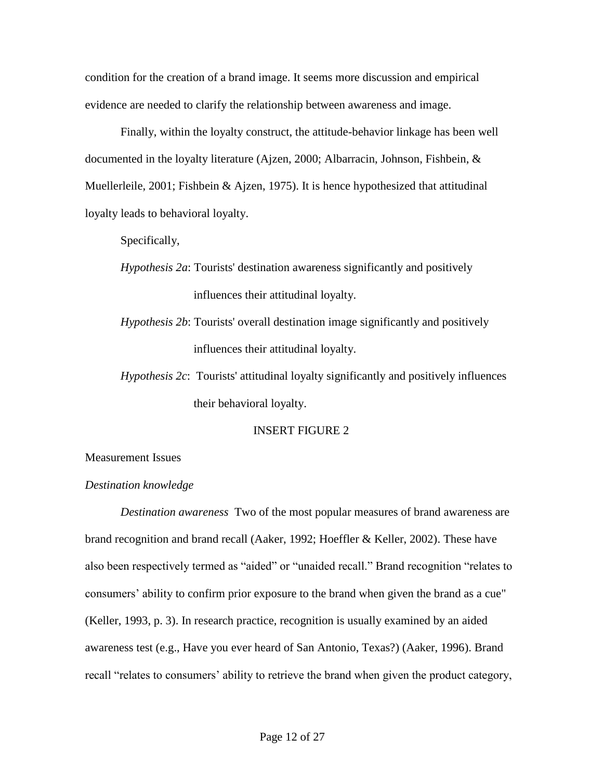condition for the creation of a brand image. It seems more discussion and empirical evidence are needed to clarify the relationship between awareness and image.

Finally, within the loyalty construct, the attitude-behavior linkage has been well documented in the loyalty literature (Ajzen, 2000; Albarracin, Johnson, Fishbein, & Muellerleile, 2001; Fishbein & Ajzen, 1975). It is hence hypothesized that attitudinal loyalty leads to behavioral loyalty.

Specifically,

- *Hypothesis 2a*: Tourists' destination awareness significantly and positively influences their attitudinal loyalty.
- *Hypothesis 2b*: Tourists' overall destination image significantly and positively influences their attitudinal loyalty.
- *Hypothesis 2c*: Tourists' attitudinal loyalty significantly and positively influences their behavioral loyalty.

### INSERT FIGURE 2

Measurement Issues

#### *Destination knowledge*

*Destination awareness* Two of the most popular measures of brand awareness are brand recognition and brand recall (Aaker, 1992; Hoeffler & Keller, 2002). These have also been respectively termed as "aided" or "unaided recall." Brand recognition "relates to consumers' ability to confirm prior exposure to the brand when given the brand as a cue" (Keller, 1993, p. 3). In research practice, recognition is usually examined by an aided awareness test (e.g., Have you ever heard of San Antonio, Texas?) (Aaker, 1996). Brand recall "relates to consumers" ability to retrieve the brand when given the product category,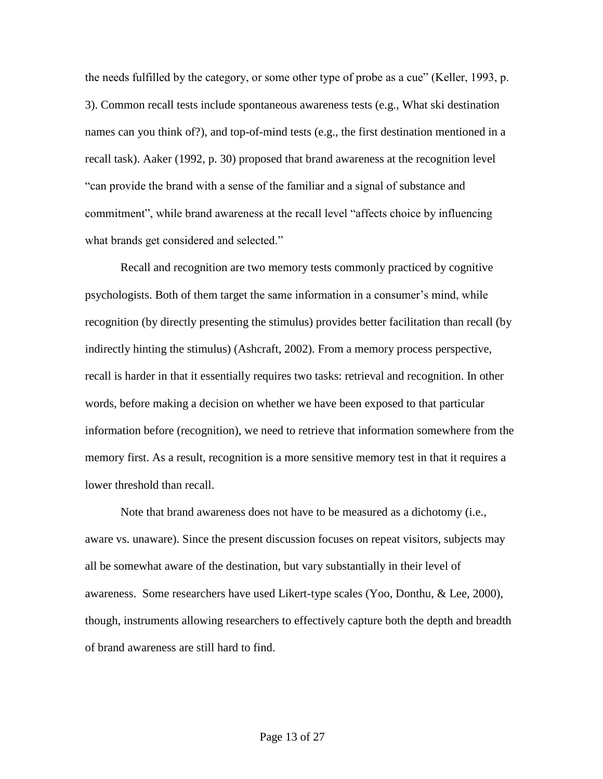the needs fulfilled by the category, or some other type of probe as a cue" (Keller, 1993, p. 3). Common recall tests include spontaneous awareness tests (e.g., What ski destination names can you think of?), and top-of-mind tests (e.g., the first destination mentioned in a recall task). Aaker (1992, p. 30) proposed that brand awareness at the recognition level "can provide the brand with a sense of the familiar and a signal of substance and commitment", while brand awareness at the recall level "affects choice by influencing what brands get considered and selected."

Recall and recognition are two memory tests commonly practiced by cognitive psychologists. Both of them target the same information in a consumer's mind, while recognition (by directly presenting the stimulus) provides better facilitation than recall (by indirectly hinting the stimulus) (Ashcraft, 2002). From a memory process perspective, recall is harder in that it essentially requires two tasks: retrieval and recognition. In other words, before making a decision on whether we have been exposed to that particular information before (recognition), we need to retrieve that information somewhere from the memory first. As a result, recognition is a more sensitive memory test in that it requires a lower threshold than recall.

Note that brand awareness does not have to be measured as a dichotomy (i.e., aware vs. unaware). Since the present discussion focuses on repeat visitors, subjects may all be somewhat aware of the destination, but vary substantially in their level of awareness. Some researchers have used Likert-type scales (Yoo, Donthu, & Lee, 2000), though, instruments allowing researchers to effectively capture both the depth and breadth of brand awareness are still hard to find.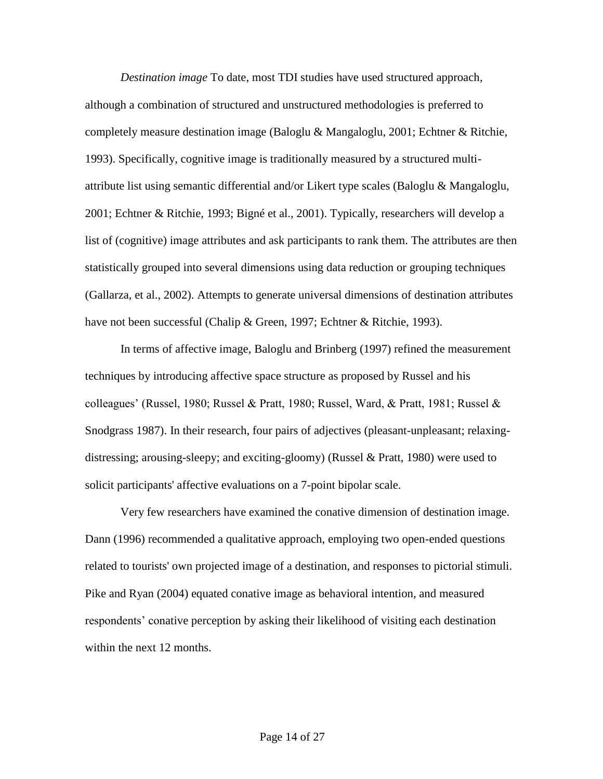*Destination image* To date, most TDI studies have used structured approach, although a combination of structured and unstructured methodologies is preferred to completely measure destination image (Baloglu & Mangaloglu, 2001; Echtner & Ritchie, 1993). Specifically, cognitive image is traditionally measured by a structured multiattribute list using semantic differential and/or Likert type scales (Baloglu & Mangaloglu, 2001; Echtner & Ritchie, 1993; Bigné et al., 2001). Typically, researchers will develop a list of (cognitive) image attributes and ask participants to rank them. The attributes are then statistically grouped into several dimensions using data reduction or grouping techniques (Gallarza, et al., 2002). Attempts to generate universal dimensions of destination attributes have not been successful (Chalip & Green, 1997; Echtner & Ritchie, 1993).

In terms of affective image, Baloglu and Brinberg (1997) refined the measurement techniques by introducing affective space structure as proposed by Russel and his colleagues" (Russel, 1980; Russel & Pratt, 1980; Russel, Ward, & Pratt, 1981; Russel & Snodgrass 1987). In their research, four pairs of adjectives (pleasant-unpleasant; relaxingdistressing; arousing-sleepy; and exciting-gloomy) (Russel & Pratt, 1980) were used to solicit participants' affective evaluations on a 7-point bipolar scale.

Very few researchers have examined the conative dimension of destination image. Dann (1996) recommended a qualitative approach, employing two open-ended questions related to tourists' own projected image of a destination, and responses to pictorial stimuli. Pike and Ryan (2004) equated conative image as behavioral intention, and measured respondents" conative perception by asking their likelihood of visiting each destination within the next 12 months.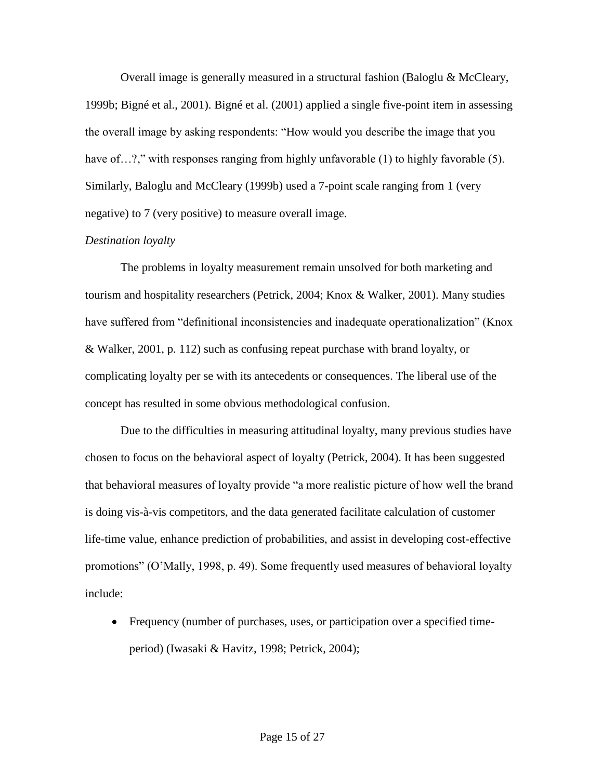Overall image is generally measured in a structural fashion (Baloglu & McCleary, 1999b; Bigné et al., 2001). Bigné et al. (2001) applied a single five-point item in assessing the overall image by asking respondents: "How would you describe the image that you have of…?," with responses ranging from highly unfavorable (1) to highly favorable (5). Similarly, Baloglu and McCleary (1999b) used a 7-point scale ranging from 1 (very negative) to 7 (very positive) to measure overall image.

# *Destination loyalty*

The problems in loyalty measurement remain unsolved for both marketing and tourism and hospitality researchers (Petrick, 2004; Knox & Walker, 2001). Many studies have suffered from "definitional inconsistencies and inadequate operationalization" (Knox & Walker, 2001, p. 112) such as confusing repeat purchase with brand loyalty, or complicating loyalty per se with its antecedents or consequences. The liberal use of the concept has resulted in some obvious methodological confusion.

Due to the difficulties in measuring attitudinal loyalty, many previous studies have chosen to focus on the behavioral aspect of loyalty (Petrick, 2004). It has been suggested that behavioral measures of loyalty provide "a more realistic picture of how well the brand is doing vis-à-vis competitors, and the data generated facilitate calculation of customer life-time value, enhance prediction of probabilities, and assist in developing cost-effective promotions" (O"Mally, 1998, p. 49). Some frequently used measures of behavioral loyalty include:

 Frequency (number of purchases, uses, or participation over a specified timeperiod) (Iwasaki & Havitz, 1998; Petrick, 2004);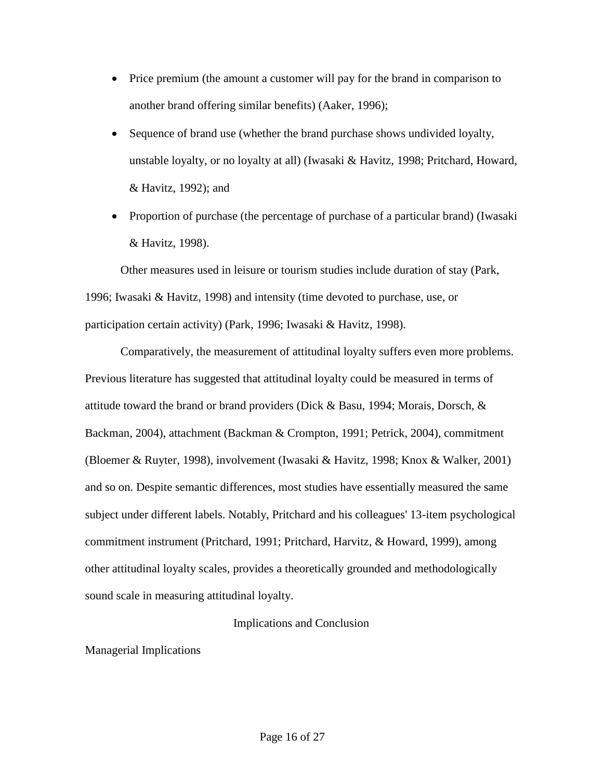- Price premium (the amount a customer will pay for the brand in comparison to another brand offering similar benefits) (Aaker, 1996);
- Sequence of brand use (whether the brand purchase shows undivided loyalty, unstable loyalty, or no loyalty at all) (Iwasaki & Havitz, 1998; Pritchard, Howard, & Havitz, 1992); and
- Proportion of purchase (the percentage of purchase of a particular brand) (Iwasaki & Havitz, 1998).

Other measures used in leisure or tourism studies include duration of stay (Park, 1996; Iwasaki & Havitz, 1998) and intensity (time devoted to purchase, use, or participation certain activity) (Park, 1996; Iwasaki & Havitz, 1998).

Comparatively, the measurement of attitudinal loyalty suffers even more problems. Previous literature has suggested that attitudinal loyalty could be measured in terms of attitude toward the brand or brand providers (Dick & Basu, 1994; Morais, Dorsch, & Backman, 2004), attachment (Backman & Crompton, 1991; Petrick, 2004), commitment (Bloemer & Ruyter, 1998), involvement (Iwasaki & Havitz, 1998; Knox & Walker, 2001) and so on. Despite semantic differences, most studies have essentially measured the same subject under different labels. Notably, Pritchard and his colleagues' 13-item psychological commitment instrument (Pritchard, 1991; Pritchard, Harvitz, & Howard, 1999), among other attitudinal loyalty scales, provides a theoretically grounded and methodologically sound scale in measuring attitudinal loyalty.

# Implications and Conclusion

Managerial Implications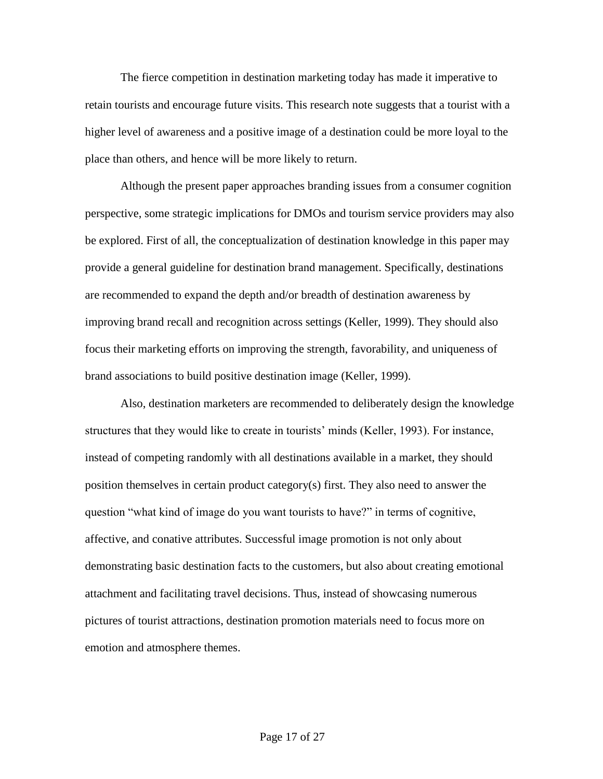The fierce competition in destination marketing today has made it imperative to retain tourists and encourage future visits. This research note suggests that a tourist with a higher level of awareness and a positive image of a destination could be more loyal to the place than others, and hence will be more likely to return.

Although the present paper approaches branding issues from a consumer cognition perspective, some strategic implications for DMOs and tourism service providers may also be explored. First of all, the conceptualization of destination knowledge in this paper may provide a general guideline for destination brand management. Specifically, destinations are recommended to expand the depth and/or breadth of destination awareness by improving brand recall and recognition across settings (Keller, 1999). They should also focus their marketing efforts on improving the strength, favorability, and uniqueness of brand associations to build positive destination image (Keller, 1999).

Also, destination marketers are recommended to deliberately design the knowledge structures that they would like to create in tourists" minds (Keller, 1993). For instance, instead of competing randomly with all destinations available in a market, they should position themselves in certain product category(s) first. They also need to answer the question "what kind of image do you want tourists to have?" in terms of cognitive, affective, and conative attributes. Successful image promotion is not only about demonstrating basic destination facts to the customers, but also about creating emotional attachment and facilitating travel decisions. Thus, instead of showcasing numerous pictures of tourist attractions, destination promotion materials need to focus more on emotion and atmosphere themes.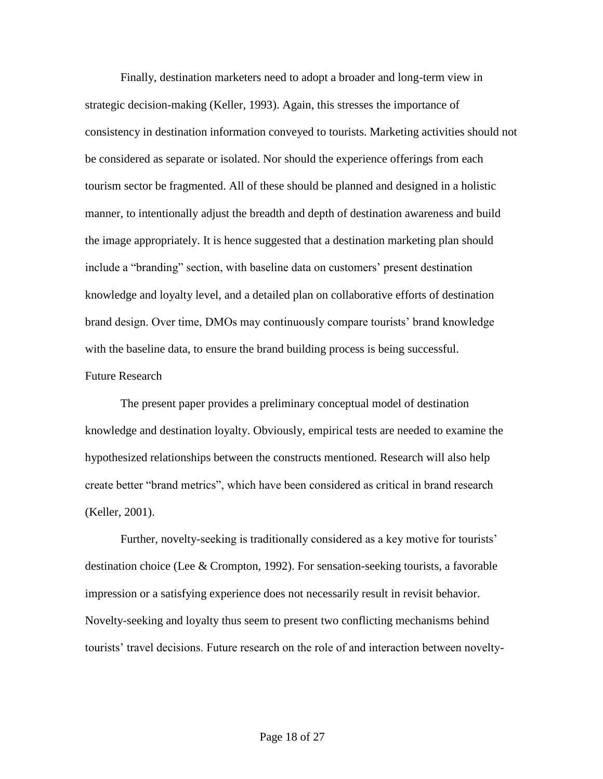Finally, destination marketers need to adopt a broader and long-term view in strategic decision-making (Keller, 1993). Again, this stresses the importance of consistency in destination information conveyed to tourists. Marketing activities should not be considered as separate or isolated. Nor should the experience offerings from each tourism sector be fragmented. All of these should be planned and designed in a holistic manner, to intentionally adjust the breadth and depth of destination awareness and build the image appropriately. It is hence suggested that a destination marketing plan should include a "branding" section, with baseline data on customers" present destination knowledge and loyalty level, and a detailed plan on collaborative efforts of destination brand design. Over time, DMOs may continuously compare tourists" brand knowledge with the baseline data, to ensure the brand building process is being successful. Future Research

The present paper provides a preliminary conceptual model of destination knowledge and destination loyalty. Obviously, empirical tests are needed to examine the hypothesized relationships between the constructs mentioned. Research will also help create better "brand metrics", which have been considered as critical in brand research (Keller, 2001).

Further, novelty-seeking is traditionally considered as a key motive for tourists' destination choice (Lee & Crompton, 1992). For sensation-seeking tourists, a favorable impression or a satisfying experience does not necessarily result in revisit behavior. Novelty-seeking and loyalty thus seem to present two conflicting mechanisms behind tourists" travel decisions. Future research on the role of and interaction between novelty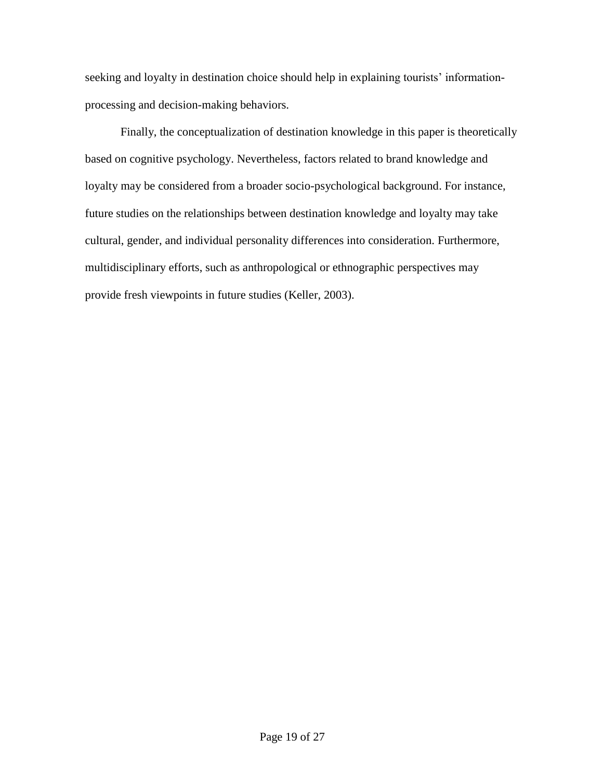seeking and loyalty in destination choice should help in explaining tourists' informationprocessing and decision-making behaviors.

Finally, the conceptualization of destination knowledge in this paper is theoretically based on cognitive psychology. Nevertheless, factors related to brand knowledge and loyalty may be considered from a broader socio-psychological background. For instance, future studies on the relationships between destination knowledge and loyalty may take cultural, gender, and individual personality differences into consideration. Furthermore, multidisciplinary efforts, such as anthropological or ethnographic perspectives may provide fresh viewpoints in future studies (Keller, 2003).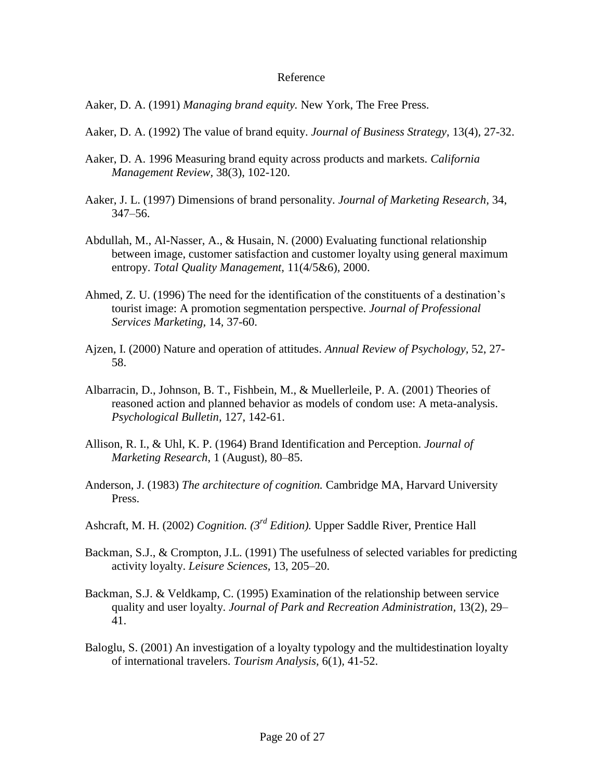### Reference

Aaker, D. A. (1991) *Managing brand equity.* New York, The Free Press.

- Aaker, D. A. (1992) The value of brand equity. *Journal of Business Strategy,* 13(4)*,* 27-32.
- Aaker, D. A. 1996 Measuring brand equity across products and markets. *California Management Review,* 38(3), 102-120.
- Aaker, J. L. (1997) Dimensions of brand personality. *Journal of Marketing Research,* 34, 347–56.
- Abdullah, M., Al-Nasser, A., & Husain, N. (2000) Evaluating functional relationship between image, customer satisfaction and customer loyalty using general maximum entropy. *Total Quality Management,* 11(4/5&6)*,* 2000.
- Ahmed, Z. U. (1996) The need for the identification of the constituents of a destination"s tourist image: A promotion segmentation perspective. *Journal of Professional Services Marketing,* 14*,* 37-60.
- Ajzen, I. (2000) Nature and operation of attitudes. *Annual Review of Psychology,* 52, 27- 58.
- Albarracin, D., Johnson, B. T., Fishbein, M., & Muellerleile, P. A. (2001) Theories of reasoned action and planned behavior as models of condom use: A meta-analysis. *Psychological Bulletin,* 127, 142-61.
- Allison, R. I., & Uhl, K. P. (1964) Brand Identification and Perception. *Journal of Marketing Research*, 1 (August)*,* 80–85.
- Anderson, J. (1983) *The architecture of cognition.* Cambridge MA, Harvard University Press.
- Ashcraft, M. H. (2002) *Cognition. (3rd Edition).* Upper Saddle River, Prentice Hall
- Backman, S.J., & Crompton, J.L. (1991) The usefulness of selected variables for predicting activity loyalty. *Leisure Sciences,* 13, 205–20.
- Backman, S.J. & Veldkamp, C. (1995) Examination of the relationship between service quality and user loyalty. *Journal of Park and Recreation Administration,* 13(2), 29– 41.
- Baloglu, S. (2001) An investigation of a loyalty typology and the multidestination loyalty of international travelers. *Tourism Analysis,* 6(1)*,* 41-52.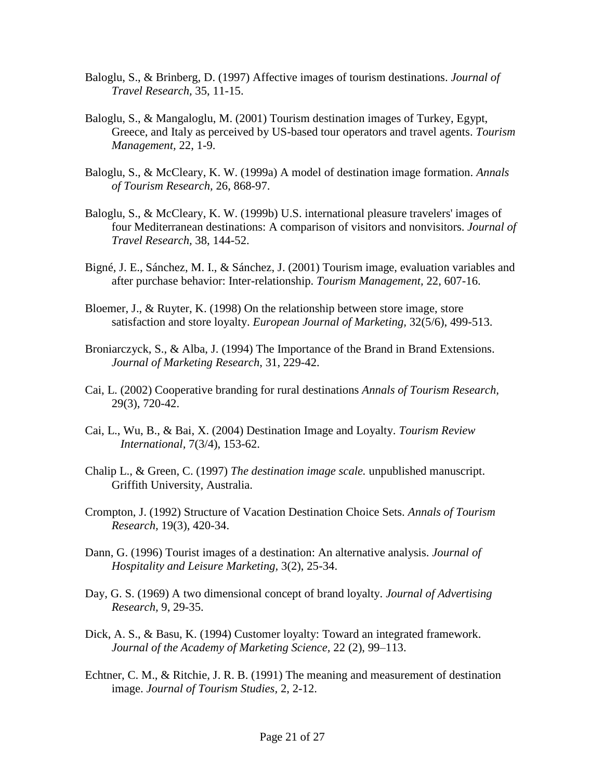- Baloglu, S., & Brinberg, D. (1997) Affective images of tourism destinations. *Journal of Travel Research,* 35, 11-15.
- Baloglu, S., & Mangaloglu, M. (2001) Tourism destination images of Turkey, Egypt, Greece, and Italy as perceived by US-based tour operators and travel agents. *Tourism Management,* 22, 1-9.
- Baloglu, S., & McCleary, K. W. (1999a) A model of destination image formation. *Annals of Tourism Research,* 26, 868-97.
- Baloglu, S., & McCleary, K. W. (1999b) U.S. international pleasure travelers' images of four Mediterranean destinations: A comparison of visitors and nonvisitors. *Journal of Travel Research,* 38, 144-52.
- Bigné, J. E., Sánchez, M. I., & Sánchez, J. (2001) Tourism image, evaluation variables and after purchase behavior: Inter-relationship. *Tourism Management,* 22, 607-16.
- Bloemer, J., & Ruyter, K. (1998) On the relationship between store image, store satisfaction and store loyalty. *European Journal of Marketing,* 32(5/6), 499-513.
- Broniarczyck, S., & Alba, J. (1994) The Importance of the Brand in Brand Extensions. *Journal of Marketing Research*, 31, 229-42.
- Cai, L. (2002) Cooperative branding for rural destinations *Annals of Tourism Research,*  29(3), 720-42.
- Cai, L., Wu, B., & Bai, X. (2004) Destination Image and Loyalty. *Tourism Review International,* 7(3/4), 153-62.
- Chalip L., & Green, C. (1997) *The destination image scale.* unpublished manuscript. Griffith University, Australia.
- Crompton, J. (1992) Structure of Vacation Destination Choice Sets. *Annals of Tourism Research,* 19(3), 420-34.
- Dann, G. (1996) Tourist images of a destination: An alternative analysis. *Journal of Hospitality and Leisure Marketing,* 3(2), 25-34.
- Day, G. S. (1969) A two dimensional concept of brand loyalty. *Journal of Advertising Research,* 9, 29-35.
- Dick, A. S., & Basu, K. (1994) Customer loyalty: Toward an integrated framework. *Journal of the Academy of Marketing Science,* 22 (2), 99–113.
- Echtner, C. M., & Ritchie, J. R. B. (1991) The meaning and measurement of destination image. *Journal of Tourism Studies,* 2, 2-12.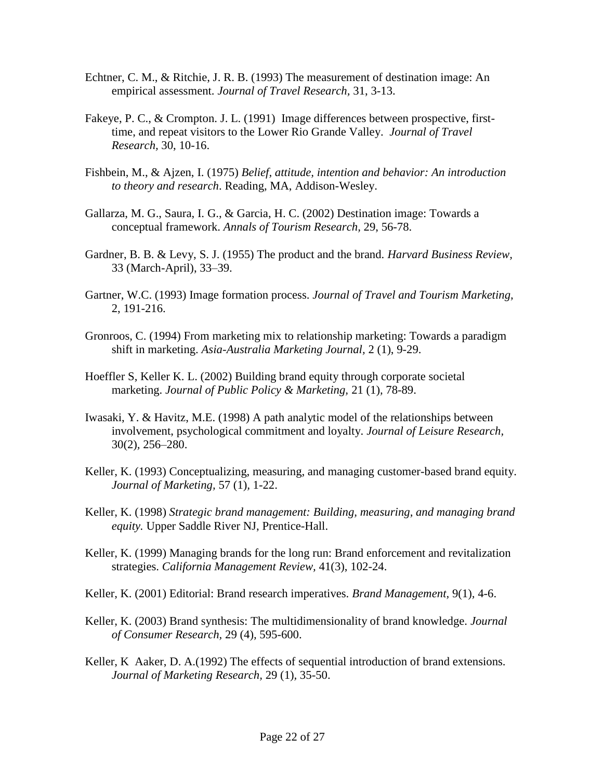- Echtner, C. M., & Ritchie, J. R. B. (1993) The measurement of destination image: An empirical assessment. *Journal of Travel Research,* 31, 3-13.
- Fakeye, P. C., & Crompton. J. L. (1991) Image differences between prospective, firsttime, and repeat visitors to the Lower Rio Grande Valley. *Journal of Travel Research,* 30, 10-16.
- Fishbein, M., & Ajzen, I. (1975) *Belief, attitude, intention and behavior: An introduction to theory and research*. Reading, MA, Addison-Wesley.
- Gallarza, M. G., Saura, I. G., & Garcia, H. C. (2002) Destination image: Towards a conceptual framework. *Annals of Tourism Research,* 29, 56-78.
- Gardner, B. B. & Levy, S. J. (1955) The product and the brand. *Harvard Business Review,*  33 (March-April), 33–39.
- Gartner, W.C. (1993) Image formation process. *Journal of Travel and Tourism Marketing,*  2, 191-216.
- Gronroos, C. (1994) From marketing mix to relationship marketing: Towards a paradigm shift in marketing. *Asia-Australia Marketing Journal,* 2 (1), 9-29.
- Hoeffler S, Keller K. L. (2002) Building brand equity through corporate societal marketing. *Journal of Public Policy & Marketing,* 21 (1)*,* 78-89.
- Iwasaki, Y. & Havitz, M.E. (1998) A path analytic model of the relationships between involvement, psychological commitment and loyalty. *Journal of Leisure Research,*  30(2)*,* 256–280.
- Keller, K. (1993) Conceptualizing, measuring, and managing customer-based brand equity. *Journal of Marketing,* 57 (1)*,* 1-22.
- Keller, K. (1998) *Strategic brand management: Building, measuring, and managing brand equity.* Upper Saddle River NJ, Prentice-Hall.
- Keller, K. (1999) Managing brands for the long run: Brand enforcement and revitalization strategies. *California Management Review,* 41(3), 102-24.
- Keller, K. (2001) Editorial: Brand research imperatives. *Brand Management,* 9(1)*,* 4-6.
- Keller, K. (2003) Brand synthesis: The multidimensionality of brand knowledge. *Journal of Consumer Research,* 29 (4)*,* 595-600.
- Keller, K Aaker, D. A. (1992) The effects of sequential introduction of brand extensions. *Journal of Marketing Research,* 29 (1)*,* 35-50.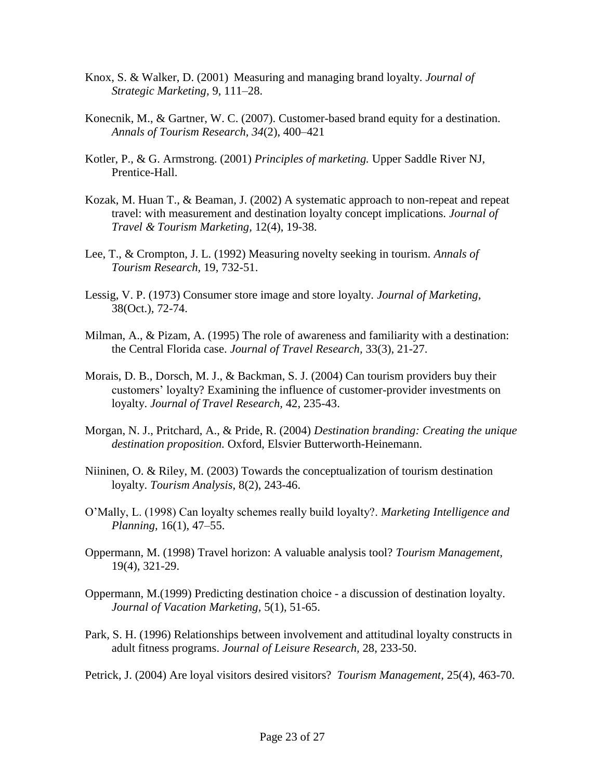- Knox, S. & Walker, D. (2001) Measuring and managing brand loyalty. *Journal of Strategic Marketing,* 9, 111–28.
- Konecnik, M., & Gartner, W. C. (2007). Customer-based brand equity for a destination. *Annals of Tourism Research, 34*(2), 400–421
- Kotler, P., & G. Armstrong. (2001) *Principles of marketing.* Upper Saddle River NJ, Prentice-Hall.
- Kozak, M. Huan T., & Beaman, J. (2002) A systematic approach to non-repeat and repeat travel: with measurement and destination loyalty concept implications. *Journal of Travel & Tourism Marketing,* 12(4), 19-38.
- Lee, T., & Crompton, J. L. (1992) Measuring novelty seeking in tourism. *Annals of Tourism Research,* 19, 732-51.
- Lessig, V. P. (1973) Consumer store image and store loyalty. *Journal of Marketing,*  38(Oct.)*,* 72-74.
- Milman, A., & Pizam, A. (1995) The role of awareness and familiarity with a destination: the Central Florida case. *Journal of Travel Research,* 33(3), 21-27.
- Morais, D. B., Dorsch, M. J., & Backman, S. J. (2004) Can tourism providers buy their customers" loyalty? Examining the influence of customer-provider investments on loyalty. *Journal of Travel Research,* 42, 235-43.
- Morgan, N. J., Pritchard, A., & Pride, R. (2004) *Destination branding: Creating the unique destination proposition.* Oxford, Elsvier Butterworth-Heinemann.
- Niininen, O. & Riley, M. (2003) Towards the conceptualization of tourism destination loyalty. *Tourism Analysis,* 8(2), 243-46.
- O"Mally, L. (1998) Can loyalty schemes really build loyalty?. *Marketing Intelligence and Planning,* 16(1), 47–55.
- Oppermann, M. (1998) Travel horizon: A valuable analysis tool? *Tourism Management,*  19(4), 321-29.
- Oppermann, M.(1999) Predicting destination choice a discussion of destination loyalty. *Journal of Vacation Marketing,* 5(1), 51-65.
- Park, S. H. (1996) Relationships between involvement and attitudinal loyalty constructs in adult fitness programs. *Journal of Leisure Research,* 28, 233-50.
- Petrick, J. (2004) Are loyal visitors desired visitors? *Tourism Management,* 25(4)*,* 463-70.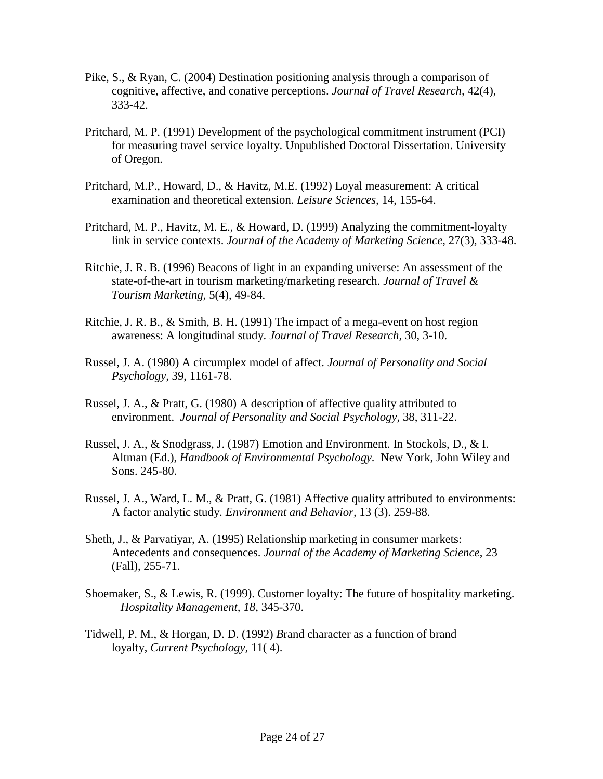- Pike, S., & Ryan, C. (2004) Destination positioning analysis through a comparison of cognitive, affective, and conative perceptions. *Journal of Travel Research,* 42(4), 333-42.
- Pritchard, M. P. (1991) Development of the psychological commitment instrument (PCI) for measuring travel service loyalty. Unpublished Doctoral Dissertation. University of Oregon.
- Pritchard, M.P., Howard, D., & Havitz, M.E. (1992) Loyal measurement: A critical examination and theoretical extension. *Leisure Sciences,* 14, 155-64.
- Pritchard, M. P., Havitz, M. E., & Howard, D. (1999) Analyzing the commitment-loyalty link in service contexts. *Journal of the Academy of Marketing Science,* 27(3)*,* 333-48.
- Ritchie, J. R. B. (1996) Beacons of light in an expanding universe: An assessment of the state-of-the-art in tourism marketing/marketing research. *Journal of Travel & Tourism Marketing,* 5(4), 49-84.
- Ritchie, J. R. B., & Smith, B. H. (1991) The impact of a mega-event on host region awareness: A longitudinal study. *Journal of Travel Research,* 30*,* 3-10.
- Russel, J. A. (1980) A circumplex model of affect. *Journal of Personality and Social Psychology,* 39, 1161-78.
- Russel, J. A., & Pratt, G. (1980) A description of affective quality attributed to environment. *Journal of Personality and Social Psychology,* 38, 311-22.
- Russel, J. A., & Snodgrass, J. (1987) Emotion and Environment. In Stockols, D., & I. Altman (Ed.), *Handbook of Environmental Psychology.* New York, John Wiley and Sons. 245-80.
- Russel, J. A., Ward, L. M., & Pratt, G. (1981) Affective quality attributed to environments: A factor analytic study. *Environment and Behavior,* 13 (3). 259-88.
- Sheth, J., & Parvatiyar, A. (1995) Relationship marketing in consumer markets: Antecedents and consequences. *Journal of the Academy of Marketing Science*, 23 (Fall), 255-71.
- Shoemaker, S., & Lewis, R. (1999). Customer loyalty: The future of hospitality marketing. *Hospitality Management, 18*, 345-370.
- Tidwell, P. M., & Horgan, D. D. (1992) *B*rand character as a function of brand loyalty, *Current Psychology,* 11( 4).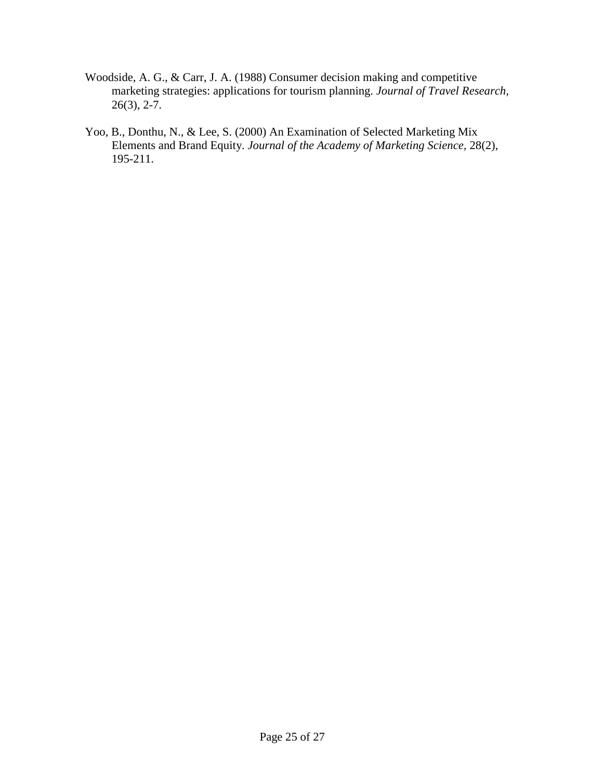- Woodside, A. G., & Carr, J. A. (1988) Consumer decision making and competitive marketing strategies: applications for tourism planning. *Journal of Travel Research,*   $26(3)$ ,  $2-7$ .
- Yoo, B., Donthu, N., & Lee, S. (2000) An Examination of Selected Marketing Mix Elements and Brand Equity. *Journal of the Academy of Marketing Science,* 28(2), 195-211.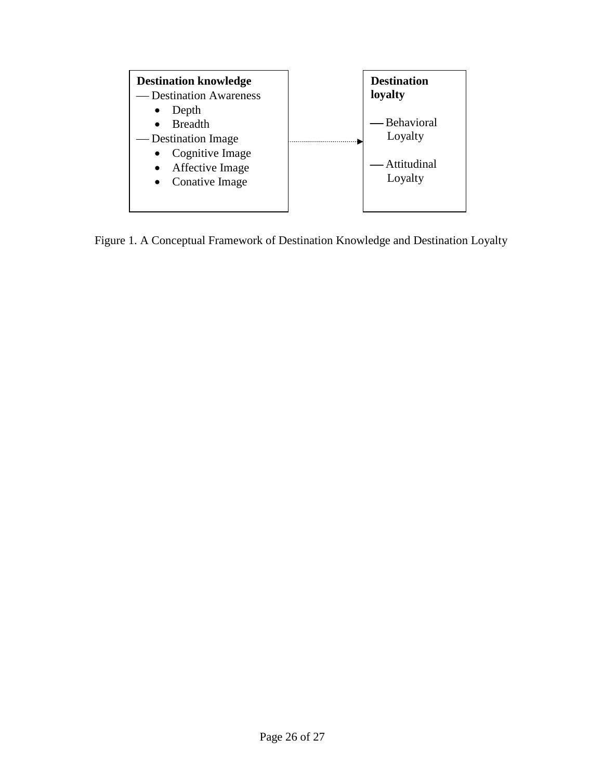

Figure 1. A Conceptual Framework of Destination Knowledge and Destination Loyalty